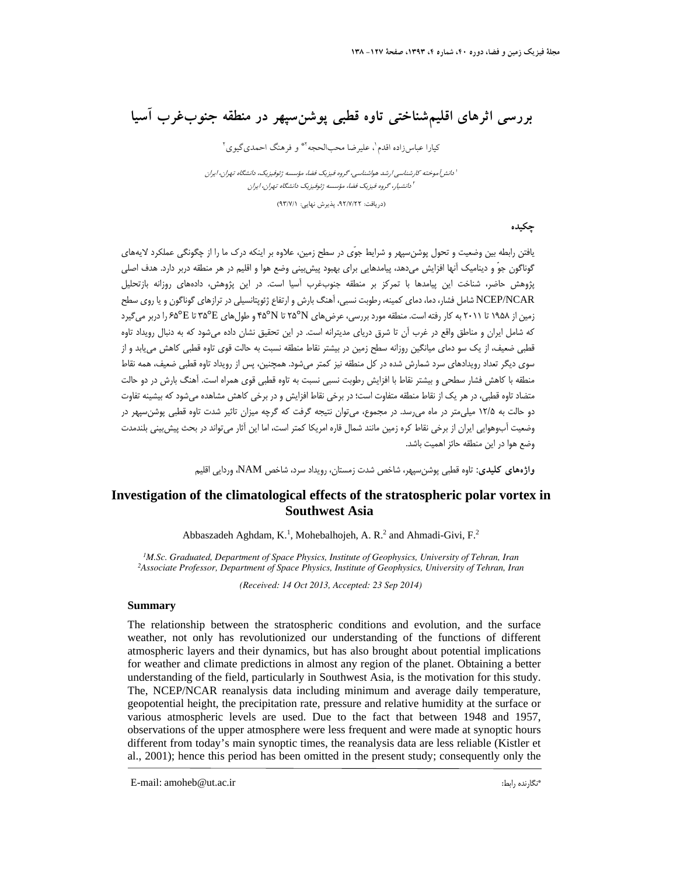## **بررسي اثرهاي اقليمشناختي تاوه قطبي پوشنسپهر در منطقه جنوبغرب آسيا**

كيارا عباس زاده اقدم'، عليرضا محبالحجه أ\* و فرهنگ احمدي گيوي أ

ا دانش آموخته كارشناسي ارشد هواشناسي، گروه فيزيك فضا، مؤسسه ژئوفيزيک، دانشگاه تهران، ايران دانشيار، گروه فيزيك فضا، مؤسسه ژئوفيزيك دانشگاه تهران، ايران <sup>2</sup>

(دريافت: ،92/7/22 پذيرش نهايي: 93/7/1)

#### **چكيده**

يافتن رابطه بين وضعيت و تحول پوشنسپهر و شرايط جوّي در سطح زمين، علاوه بر اينكه درك ما را از چگونگي عملكرد لايههاي گوناگون جوّ و ديناميك آنها افزايش ميدهد، پيامدهايي براي بهبود پيشبيني وضع هوا و اقليم در هر منطقه دربر دارد. هدف اصلي پژوهش حاضر، شناخت اين پيامدها با تمركز بر منطقه جنوبغرب آسيا است. در اين پژوهش، دادههاي روزانه بازتحليل NCAR/NCEP شامل فشار، دما، دماي كمينه، رطوبت نسبي، آهنگ بارش و ارتفاع ژئوپتانسيلي در ترازهاي گوناگون و يا روي سطح زمين از 1958 تا 2011 به كار رفته است. منطقه مورد بررسي، عرضهاي N25° تا N45° و طولهاي E35° تا E65° را دربر ميگيرد كه شامل ايران و مناطق واقع در غرب آن تا شرق درياي مديترانه است. در اين تحقيق نشان داده ميشود كه به دنبال رويداد تاوه قطبي ضعيف، از يك سو دماي ميانگين روزانه سطح زمين در بيشتر نقاط منطقه نسبت به حالت قوي تاوه قطبي كاهش مييابد و از سوي ديگر تعداد رويدادهاي سرد شمارش شده در كل منطقه نيز كمتر ميشود. همچنين، پس از رويداد تاوه قطبي ضعيف، همه نقاط منطقه با كاهش فشار سطحي و بيشتر نقاط با افزايش رطوبت نسبي نسبت به تاوه قطبي قوي همراه است. آهنگ بارش در دو حالت متضاد تاوه قطبي، در هر يك از نقاط منطقه متفاوت است؛ در برخي نقاط افزايش و در برخي كاهش مشاهده ميشود كه بيشينه تفاوت دو حالت به 12/5 ميليمتر در ماه ميرسد. در مجموع، ميتوان نتيجه گرفت كه گرچه ميزان تاثير شدت تاوه قطبي پوشنسپهر در وضعيت آبوهوايي ايران از برخي نقاط كره زمين مانند شمال قاره امريكا كمتر است، اما اين آثار ميتواند در بحث پيشبيني بلندمدت وضع هوا در اين منطقه حائز اهميت باشد.

**واژههاي كليدي:** تاوه قطبي پوشنسپهر، شاخص شدت زمستان، رويداد سرد، شاخص NAM، وردايي اقليم

### **Investigation of the climatological effects of the stratospheric polar vortex in Southwest Asia**

Abbaszadeh Aghdam,  $K<sup>1</sup>$ , Mohebalhojeh, A. R.<sup>2</sup> and Ahmadi-Givi, F.<sup>2</sup>

<sup>1</sup>M.Sc. Graduated, Department of Space Physics, Institute of Geophysics, University of Tehran, Iran <sup>2</sup>Associate Professor, Department of Space Physics, Institute of Geophysics, University of Tehran, Iran

*(Received: 14 Oct 2013, Accepted: 23 Sep 2014)*

#### **Summary**

The relationship between the stratospheric conditions and evolution, and the surface weather, not only has revolutionized our understanding of the functions of different atmospheric layers and their dynamics, but has also brought about potential implications for weather and climate predictions in almost any region of the planet. Obtaining a better understanding of the field, particularly in Southwest Asia, is the motivation for this study. The, NCEP/NCAR reanalysis data including minimum and average daily temperature, geopotential height, the precipitation rate, pressure and relative humidity at the surface or various atmospheric levels are used. Due to the fact that between 1948 and 1957, observations of the upper atmosphere were less frequent and were made at synoptic hours different from today's main synoptic times, the reanalysis data are less reliable (Kistler et al., 2001); hence this period has been omitted in the present study; consequently only the

\* E-mail: amoheb@ut.ac.ir :رابط نگارنده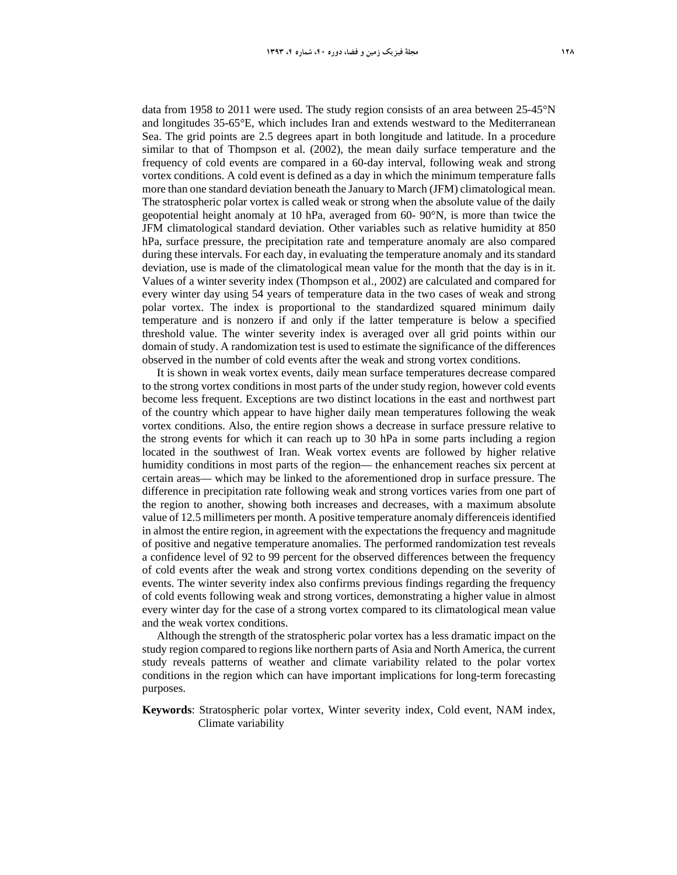data from 1958 to 2011 were used. The study region consists of an area between 25-45°N and longitudes 35-65°E, which includes Iran and extends westward to the Mediterranean Sea. The grid points are 2.5 degrees apart in both longitude and latitude. In a procedure similar to that of Thompson et al. (2002), the mean daily surface temperature and the frequency of cold events are compared in a 60-day interval, following weak and strong vortex conditions. A cold event is defined as a day in which the minimum temperature falls more than one standard deviation beneath the January to March (JFM) climatological mean. The stratospheric polar vortex is called weak or strong when the absolute value of the daily geopotential height anomaly at 10 hPa, averaged from 60- 90°N, is more than twice the JFM climatological standard deviation. Other variables such as relative humidity at 850 hPa, surface pressure, the precipitation rate and temperature anomaly are also compared during these intervals. For each day, in evaluating the temperature anomaly and its standard deviation, use is made of the climatological mean value for the month that the day is in it. Values of a winter severity index (Thompson et al., 2002) are calculated and compared for every winter day using 54 years of temperature data in the two cases of weak and strong polar vortex. The index is proportional to the standardized squared minimum daily temperature and is nonzero if and only if the latter temperature is below a specified threshold value. The winter severity index is averaged over all grid points within our domain of study. A randomization test is used to estimate the significance of the differences observed in the number of cold events after the weak and strong vortex conditions.

It is shown in weak vortex events, daily mean surface temperatures decrease compared to the strong vortex conditions in most parts of the under study region, however cold events become less frequent. Exceptions are two distinct locations in the east and northwest part of the country which appear to have higher daily mean temperatures following the weak vortex conditions. Also, the entire region shows a decrease in surface pressure relative to the strong events for which it can reach up to 30 hPa in some parts including a region located in the southwest of Iran. Weak vortex events are followed by higher relative humidity conditions in most parts of the region— the enhancement reaches six percent at certain areas— which may be linked to the aforementioned drop in surface pressure. The difference in precipitation rate following weak and strong vortices varies from one part of the region to another, showing both increases and decreases, with a maximum absolute value of 12.5 millimeters per month. A positive temperature anomaly differenceis identified in almost the entire region, in agreement with the expectations the frequency and magnitude of positive and negative temperature anomalies. The performed randomization test reveals a confidence level of 92 to 99 percent for the observed differences between the frequency of cold events after the weak and strong vortex conditions depending on the severity of events. The winter severity index also confirms previous findings regarding the frequency of cold events following weak and strong vortices, demonstrating a higher value in almost every winter day for the case of a strong vortex compared to its climatological mean value and the weak vortex conditions.

Although the strength of the stratospheric polar vortex has a less dramatic impact on the study region compared to regions like northern parts of Asia and North America, the current study reveals patterns of weather and climate variability related to the polar vortex conditions in the region which can have important implications for long-term forecasting purposes.

**Keywords**: Stratospheric polar vortex, Winter severity index, Cold event, NAM index, Climate variability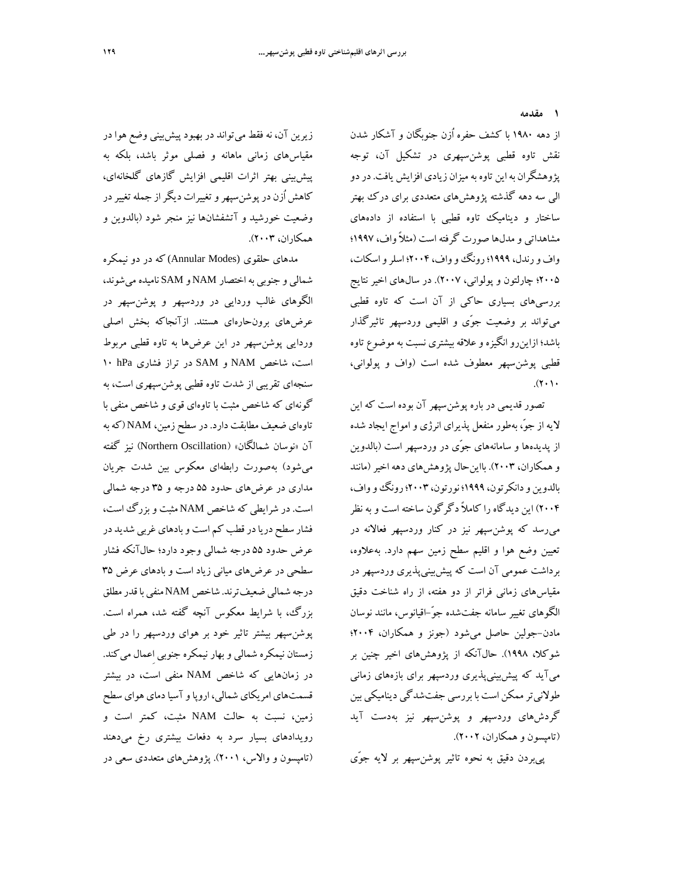**1 مقدمه** 

از دهه 1980 با كشف حفره اُزن جنوبگان و آشكار شدن نقش تاوه قطبي پوشنسپهري در تشكيل آن، توجه پژوهشگران بهاين تاوه بهميزان زيادي افزايش يافت.دردو الي سه دهه گذشته پژوهشهاي متعددي براي درك بهتر ساختار و ديناميك تاوه قطبي با استفاده از دادههاي مشاهداتي ومدلها صورت گرفته است (مثلاًواف، 1997؛ واف ورندل، 1999؛رونگوواف، 2004؛ اسلرواسكات، 2005؛ چارلتون و پولواني، 2007). در سالهاي اخير نتايج بررسيهاي بسياري حاكي از آن است كه تاوه قطبي ميتواند بر وضعيت جوّي و اقليمي وردسپهر تاثيرگذار باشد؛ ازاينروانگيزهوعلاقه بيشتري نسبت به موضوع تاوه قطبي پوشنسپهر معطوف شده است (واف و پولواني،  $(1 \cdot 1)$ 

تصور قديمي در باره پوشنسپهر آن بوده است كه اين لايه از جو،ّ بهطور منفعل پذيراي انرژي و امواج ايجاد شده از پديدهها و سامانههاي جوّي در وردسپهر است (بالدوين وهمكاران، 2003). بااينحال پژوهشهاي دهه اخير (مانند بالدوين ودانكرتون، 1999؛ نورتون، 2003؛رونگوواف، 2004) اين ديدگاه را ً كاملا دگرگون ساخته است و به نظر ميرسد كه پوشنسپهر نيز در كنار وردسپهر فعالانه در تعيين وضع هوا و اقليم سطح زمين سهم دارد. بهعلاوه، برداشت عمومي آن است كه پيشبينيپذيري وردسپهر در مقياسهاي زماني فراتر از دو هفته، از راه شناخت دقيق الگوهاي تغيير سامانه جفتشده جو-ّاقيانوس، مانند نوسان مادن-جولين حاصل ميشود (جونز و همكاران، 2004؛ شوكلا، 1998). حالآنكه از پژوهشهاي اخير چنين بر ميآيد كه پيشبينيپذيري وردسپهر براي بازههاي زماني طولانيترممكن است با بررسي جفتشدگي ديناميكي بين گردشهاي وردسپهر و پوشنسپهر نيز بهدست آيد (تامپسون و همكاران، 2002).

پيبردن دقيق به نحوه تاثير پوشنسپهر بر لايه جوّي

زيرين آن، نه فقط ميتواند در بهبود پيشبيني وضع هوا در مقياسهاي زماني ماهانه و فصلي موثر باشد، بلكه به پيشبيني بهتر اثرات اقليمي افزايش گازهاي گلخانهاي، كاهش اُزن درپوشنسپهروتغييرات ديگراز جملهتغييردر وضعيت خورشيد و آتشفشانها نيز منجر شود (بالدوين و همكاران، 2003).

مدهاي حلقوي (Annular Modes) كه در دو نيمكره شمالي و جنوبي بهاختصار NAM و SAM ناميده ميشوند، الگوهاي غالب وردايي در وردسپهر و پوشنسپهر در عرضهاي برونحارهاي هستند. ازآنجاكه بخش اصلي وردايي پوشنسپهر در اين عرضها به تاوه قطبي مربوط است، شاخص NAM و SAM در تراز فشاري hPa 10 سنجهاي تقريبي از شدت تاوه قطبي پوشنسپهري است، به گونهاي كه شاخص مثبت با تاوهاي قوي و شاخص منفي با تاوهاي ضعيف مطابقت دارد. در سطح زمين، NAM) كهبه آن «نوسان شمالگان» (Oscillation Northern (نيز گفته ميشود) بهصورت رابطهاي معكوس بين شدت جريان مداري در عرضهاي حدود 55 درجه و 35 درجه شمالي است. در شرايطي كه شاخص NAM مثبت وبزرگ است، فشار سطح دريادرقطب كم است وبادهاي غربي شديد در عرض حدود 55 درجه شمالي وجود دارد؛ حالآنكه فشار سطحي در عرضهاي مياني زياد است و بادهاي عرض 35 درجه شمالي ضعيف ترند. شاخص NAM منفي با قدر مطلق بزرگ، با شرايط معكوس آنچه گفته شد، همراه است. پوشنسپهر بيشتر تاثير خود بر هواي وردسپهر را در طي زمستان نيمكره شمالي وبهار نيمكره جنوبي اِعمال ميكند. در زمانهايي كه شاخص NAM منفي است، در بيشتر قسمتهاي امريكاي شمالي، اروپاوآسيادماي هواي سطح زمين، نسبت به حالت NAM مثبت، كمتر است و رويدادهاي بسيار سرد به دفعات بيشتري رخ ميدهند (تامپسون و والاس، 2001). پژوهشهاي متعددي سعي در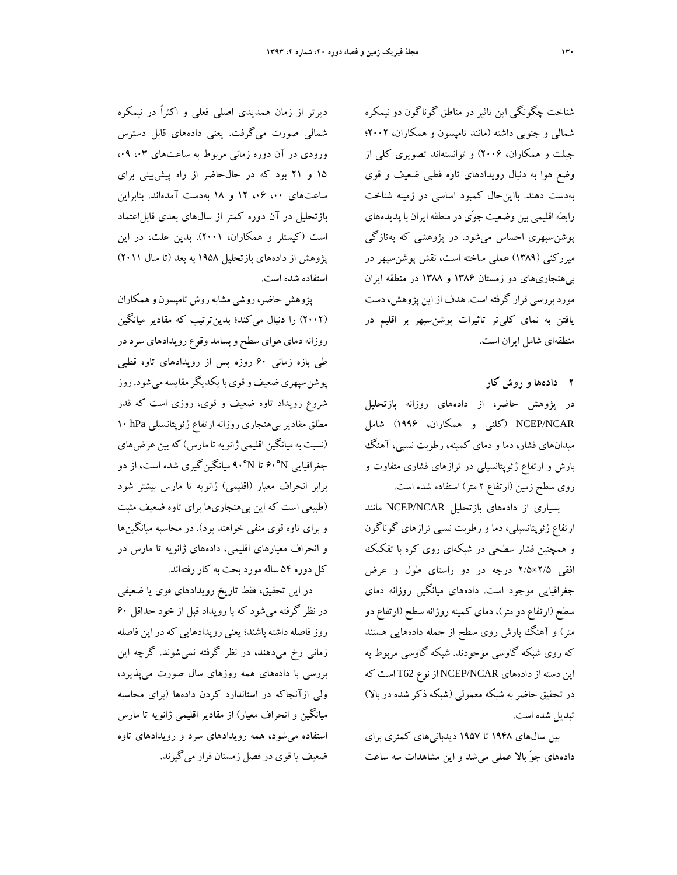شناخت چگونگي اين تاثير در مناطق گوناگون دو نيمكره شمالي و جنوبي داشته (مانند تامپسون و همكاران، 2002؛ جيلت و همكاران، 2006) و توانستهاند تصويري كلي از وضع هوا به دنبال رويدادهاي تاوه قطبي ضعيف و قوي بهدست دهند. بااينحال كمبود اساسي در زمينه شناخت رابطه اقليمي بين وضعيت جوّي در منطقه ايران با پديدههاي پوشنسپهري احساس ميشود. در پژوهشي كه بهتازگي ميرركني (1389) عملي ساخته است، نقش پوشنسپهر در بيهنجاريهاي دو زمستان 1386 و 1388 در منطقه ايران موردبررسي قرار گرفتهاست. هدف ازاين پژوهش،دست يافتن به نماي كليتر تاثيرات پوشنسپهر بر اقليم در منطقهاي شامل ايران است.

**2 دادهها و روش كار** 

در پژوهش حاضر، از دادههاي روزانه بازتحليل NCAR/NCEP) كلني و همكاران، 1996) شامل ميدانهاي فشار، دما و دماي كمينه، رطوبت نسبي، آهنگ بارش و ارتفاع ژئوپتانسيلي در ترازهاي فشاري متفاوت و روي سطح زمين (ارتفاع 2 متر) استفاده شده است.

بسياري از دادههاي بازتحليل NCAR/NCEP مانند ارتفاع ژئوپتانسيلي، دما و رطوبت نسبي ترازهاي گوناگون و همچنين فشار سطحي در شبكهاي روي كره با تفكيك افقي 2/5×2/5 درجه در دو راستاي طول و عرض جغرافيايي موجود است. دادههاي ميانگين روزانه دماي سطح (ارتفاع دومتر)، دماي كمينه روزانه سطح (ارتفاع دو متر) و آهنگ بارش روي سطح از جمله دادههايي هستند كه روي شبكه گاوسي موجودند. شبكه گاوسي مربوط به اين دسته ازدادههاي NCAR/NCEP ازنوع 62T است كه در تحقيق حاضربه شبكه معمولي (شبكه ذكر شده در بالا) تبديل شده است.

بين سالهاي 1948 تا 1957 ديدبانيهاي كمتري براي دادههاي جوّ بالا عملي ميشد و اين مشاهدات سه ساعت

ديرتر از زمان همديدي اصلي فعلي و اكثراً در نيمكره شمالي صورت ميگرفت. يعني دادههاي قابل دسترس ورودي در آن دوره زماني مربوط به ساعتهاي ۰.۳ ،۹ 15 و 21 بود كه در حالحاضر از راه پيشبيني براي ساعتهاي ،00 ،06 12 و 18 بهدست آمدهاند. بنابراين بازتحليل در آن دوره كمتر از سال هاي بعدي قابل اعتماد است (كيستلر و همكاران، 2001). بدين علت، در اين پژوهش از دادههاي بازتحليل 1958 به بعد (تا سال 2011) استفاده شده است.

پژوهش حاضر، روشي مشابه روش تامپسون و همكاران (2002) را دنبال ميكند؛ بدينترتيب كه مقادير ميانگين روزانه دماي هواي سطح و بسامد وقوع رويدادهاي سرد در طي بازه زماني 60 روزه پس از رويدادهاي تاوه قطبي پوشنسپهري ضعيف و قوي با يكديگر مقايسه مي شود. روز شروع رويداد تاوه ضعيف و قوي، روزي است كه قدر مطلق مقاديربيهنجاري روزانه ارتفاع ژئوپتانسيلي hPa 10 (نسبت به ميانگين اقليمي ژانويه تا مارس) كه بين عرضهاي جغرافيايي N60° تا N90° ميانگينگيري شده است، از دو برابر انحراف معيار (اقليمي) ژانويه تا مارس بيشتر شود (طبيعي است كه اين بيهنجاريها براي تاوه ضعيف مثبت و براي تاوه قوي منفي خواهند بود). در محاسبه ميانگينها و انحراف معيارهاي اقليمي، دادههاي ژانويه تا مارس در كل دوره 54 ساله مورد بحث به كار رفتهاند.

در اين تحقيق، فقط تاريخ رويدادهاي قوي يا ضعيفي در نظر گرفته ميشود كه با رويداد قبل از خود حداقل 60 روز فاصله داشته باشند؛ يعني رويدادهايي كه در اين فاصله زماني رخ ميدهند، در نظر گرفته نميشوند. گرچه اين بررسي با دادههاي همه روزهاي سال صورت ميپذيرد، ولي ازآنجاكه در استاندارد كردن دادهها (براي محاسبه ميانگين و انحراف معيار) از مقادير اقليمي ژانويه تا مارس استفاده ميشود، همه رويدادهاي سرد و رويدادهاي تاوه ضعيف يا قوي در فصل زمستان قرار ميگيرند.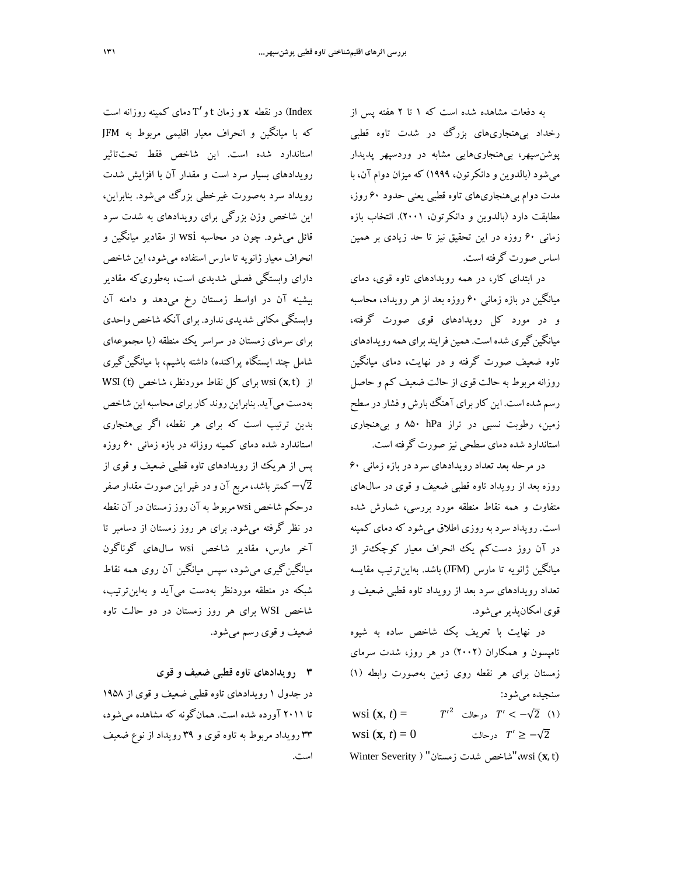رخداد بيهنجاريهاي بزرگ در شدت تاوه قطبي پوشنسپهر، بيهنجاريهايي مشابه در وردسپهر پديدار ميشود (بالدوين و دانكرتون، 1999) كه ميزان دوام آن، با مدت دوام بيهنجاريهاي تاوه قطبي يعني حدود 60 روز، مطابقت دارد (بالدوين و دانكرتون، 2001). انتخاب بازه زماني 60 روزه در اين تحقيق نيز تا حد زيادي بر همين اساس صورت گرفته است.

در ابتداي كار، در همه رويدادهاي تاوه قوي، دماي ميانگين در بازه زماني 60 روزه بعد از هر رويداد، محاسبه و در مورد كل رويدادهاي قوي صورت گرفته، ميانگين گيري شده است. همين فرايند براي همه رويدادهاي تاوه ضعيف صورت گرفته و در نهايت، دماي ميانگين روزانه مربوط به حالت قوي از حالت ضعيف كم و حاصل رسم شده است. اين كاربرايآهنگبارش وفشاردر سطح زمين، رطوبت نسبي در تراز hPa 850 و بيهنجاري استاندارد شده دماي سطحي نيز صورت گرفته است.

در مرحله بعد تعداد رويدادهاي سرد در بازه زماني 60 روزه بعد از رويداد تاوه قطبي ضعيف و قوي در سالهاي متفاوت و همه نقاط منطقه مورد بررسي، شمارش شده است. رويداد سرد به روزي اطلاق ميشود كه دماي كمينه در آن روز دستكم يك انحراف معيار كوچكتر از ميانگين ژانويه تا مارس (JFM (باشد. بهاينترتيب مقايسه تعداد رويدادهاي سرد بعد از رويداد تاوه قطبي ضعيف و قوي امكانپذيرميشود.

در نهايت با تعريف يك شاخص ساده به شيوه تامپسون و همكاران (2002) در هر روز، شدت سرماي زمستان براي هر نقطه روي زمين بهصورت رابطه (1) سنجيده ميشود:

- WSI (**x**, *t*) =  $T'^2$  درحالت  $T' < -\sqrt{2}$  (۱) wsi  $(\mathbf{x}, t) = 0$  درحالت  $T' \ge -\sqrt{2}$
- Winter Severity ) "شاخص شدت زمستان" ( Winter Severity

در نقطه  ${\bf x}$ و زمان t و T' دماي كمينه روزانه است Index كه با ميانگين و انحراف معيار اقليمي مربوط به JFM استاندارد شده است. اين شاخص فقط تحتتاثير رويدادهاي بسيار سرد است و مقدار آن با افزايش شدت رويداد سرد بهصورت غيرخطي بزرگ ميشود. بنابراين، اين شاخص وزن بزرگي براي رويدادهاي به شدت سرد قائل ميشود. چون در محاسبه wsi از مقادير ميانگين و انحراف معيار ژانويه تا مارس استفاده ميشود، اين شاخص داراي وابستگي فصلي شديدي است، بهطوريكه مقادير بيشينه آن در اواسط زمستان رخ ميدهد و دامنه آن وابستگي مكاني شديدي ندارد. براي آنكه شاخص واحدي براي سرماي زمستان در سراسر يك منطقه (يا مجموعهاي شامل چند ايستگاه پراكنده) داشته باشيم، با ميانگينگيري از (wsi (x, t) براي كل نقاط موردنظر، شاخص (WSI (t بهدست مي آيد. بنابراين روند كار براي محاسبه اين شاخص بدين ترتيب است كه براي هر نقطه، اگر بيهنجاري استاندارد شده دماي كمينه روزانه در بازه زماني 60 روزه پس از هريك از رويدادهاي تاوه قطبي ضعيف و قوي از 2√− كمترباشد، مربع آن ودرغيراين صورت مقدار صفر درحكم شاخص wsi مربوط بهآن روززمستان درآن نقطه در نظر گرفته ميشود. براي هر روز زمستان از دسامبر تا آخر مارس، مقادير شاخص wsi سالهاي گوناگون ميانگينگيري ميشود، سپس ميانگين آن روي همه نقاط شبكه در منطقه موردنظر بهدست ميآيد و بهاينترتيب، شاخص WSI براي هر روز زمستان در دو حالت تاوه ضعيف و قوي رسم ميشود.

**3 رويدادهاي تاوه قطبي ضعيف و قوي**  در جدول 1 رويدادهاي تاوه قطبي ضعيف و قوي از 1958 تا 2011 آورده شده است. همانگونه كه مشاهده ميشود، 33 رويداد مربوط به تاوه قوي و 39 رويداد از نوع ضعيف است.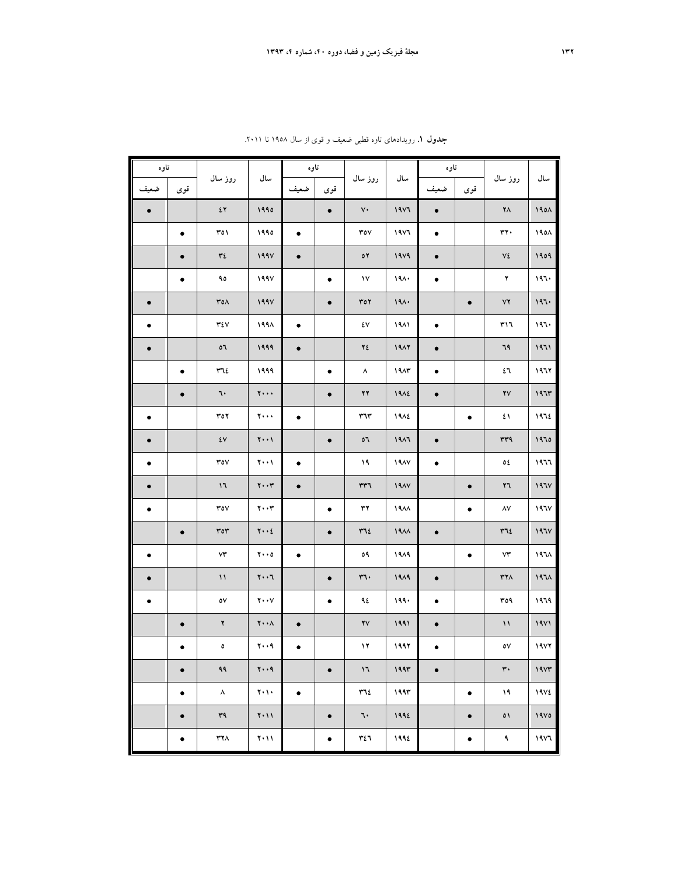| تاوه      |           |                               |                                         | تاوه      |           |                                  |                  | تاوه      |           |                        |              |
|-----------|-----------|-------------------------------|-----------------------------------------|-----------|-----------|----------------------------------|------------------|-----------|-----------|------------------------|--------------|
| ضعيف      | قوى       | روز سال                       | سال                                     | ضعيف      | قوى       | روز سال                          | سال              | ضعيف      | قوى       | روز سال                | سال          |
| $\bullet$ |           | $\mathfrak{c}\, \mathfrak{r}$ | 1990                                    |           | $\bullet$ | $\mathsf{v}\mathsf{\cdot}$       | 1951             | $\bullet$ |           | $\mathbf{Y} \wedge$    | 1901         |
|           | $\bullet$ | ۳٥١                           | ۱۹۹۵                                    | $\bullet$ |           | ۳٥٧                              | 1951             | $\bullet$ |           | $rr \cdot$             | 1901         |
|           | $\bullet$ | ٣٤                            | 199V                                    | $\bullet$ |           | $\mathfrak{o}\mathfrak{r}$       | 1979             | $\bullet$ |           | $\mathsf{V}\mathsf{E}$ | 1909         |
|           | ٠         | ۹٥                            | 199V                                    |           | ٠         | $\mathsf{v}$                     | 191.             | $\bullet$ |           | ۲                      | 197.         |
| $\bullet$ |           | ۳٥٨                           | 199V                                    |           | $\bullet$ | $Y \circ Y$                      | 191.             |           | $\bullet$ | YY                     | 197.         |
| ٠         |           | ٣٤٧                           | ۱۹۹۸                                    | ٠         |           | ٤٧                               | 1911             | $\bullet$ |           | ٣١٦                    | 197.         |
| $\bullet$ |           | $\mathfrak{o}$                | 1999                                    | $\bullet$ |           | ٢٤                               | 1917             | $\bullet$ |           | ٦٩                     | 1971         |
|           | $\bullet$ | ٣٦٤                           | ۱۹۹۹                                    |           | $\bullet$ | ۸                                | 19AT             | ٠         |           | ٤٦                     | 1977         |
|           | $\bullet$ | ٦٠                            | $\mathbf{y} \cdot \cdot \cdot$          |           | $\bullet$ | ۲۲                               | 1912             | $\bullet$ |           | $\gamma\gamma$         | 197r         |
| $\bullet$ |           | ۳٥۲                           | $\mathbf{y} \leftrightarrow \mathbf{y}$ | ٠         |           | ٣٦٣                              | 1912             |           | $\bullet$ | ٤١                     | 1972         |
| $\bullet$ |           | $\mathsf{\acute{e}v}$         | $\mathbf{Y} \cdot \cdot \mathbf{V}$     |           | $\bullet$ | 07                               | 1917             | $\bullet$ |           | rrq                    | 1970         |
| ٠         |           | $\mathop{\mathsf{rov}}$       | $Y \cdot \cdot Y$                       | ٠         |           | ۱۹                               | 19AY             | $\bullet$ |           | ٥٤                     | ۱۹٦٦         |
| $\bullet$ |           | $\mathsf{I}$                  | $\mathbf{Y} \cdot \cdot \mathbf{Y}$     | $\bullet$ |           | rr7                              | 19AY             |           | $\bullet$ | ۲٦                     | 197V         |
| $\bullet$ |           | $\mathsf{row}$                | $\mathbf{y} \cdot \mathbf{y}$           |           | $\bullet$ | $\mathbf{r}$                     | 19AA             |           | $\bullet$ | $\Lambda\mathrm{V}$    | 197V         |
|           | $\bullet$ | ror                           | $\mathbf{y} \cdot \cdot \mathbf{z}$     |           | $\bullet$ | $\tau$                           | 19 <sub>AA</sub> | $\bullet$ |           | $\tau$                 | 197V         |
| $\bullet$ |           | ۷۳                            | $Y \cdot \cdot 0$                       | $\bullet$ |           | ٥٩                               | ۱۹۸۹             |           | $\bullet$ | $\mathsf{v}\mathsf{r}$ | $197\lambda$ |
| $\bullet$ |           | $\mathcal{N}$                 | $\mathbf{y} \cdot \cdot \mathbf{y}$     |           | $\bullet$ | ٣٦٠                              | 1919             | $\bullet$ |           | $YY\wedge$             | $197\lambda$ |
| $\bullet$ |           | ٥٧                            | $\mathbf{Y} \cdot \cdot \mathbf{V}$     |           | $\bullet$ | ٩٤                               | ۱۹۹۰             | $\bullet$ |           | ۳٥٩                    | ۱۹٦۹         |
|           | $\bullet$ | ٢                             | $\mathbf{Y} \cdot \cdot \mathbf{A}$     | $\bullet$ |           | $\bm{\mathtt{Y}}\bm{\mathtt{V}}$ | 1991             | $\bullet$ |           | $\mathcal{N}$          | 19Y1         |
|           |           | $\bullet$                     | 4.17                                    |           |           | $\mathbf{17}$                    | 1997             |           |           | $\circ \vee$           | 19YY         |
|           | $\bullet$ | ۹۹                            | $y \cdot q$                             |           | $\bullet$ | $\mathcal{V}$                    | 1997             | $\bullet$ |           | $\mathbf{r}$ .         | 19Yr         |
|           | ٠         | $\boldsymbol{\wedge}$         | $\mathbf{Y} \cdot \mathbf{V} \cdot$     | $\bullet$ |           | ٣٦٤                              | ۱۹۹۳             |           | ٠         | ۱۹                     | 19V          |
|           | $\bullet$ | ٣٩                            | $Y \cdot 11$                            |           | $\bullet$ | ٦٠                               | 1992             |           | $\bullet$ | ٥١                     | 19V0         |
|           | ٠         | ٣٢٨                           | $\mathbf{Y} \cdot \mathbf{M}$           |           | ٠         | ٣٤٦                              | 1992             |           | ٠         | ٩                      | 1957         |

**جدول .1** رويدادهاي تاوه قطبي ضعيف و قوي از سال 1958 تا .2011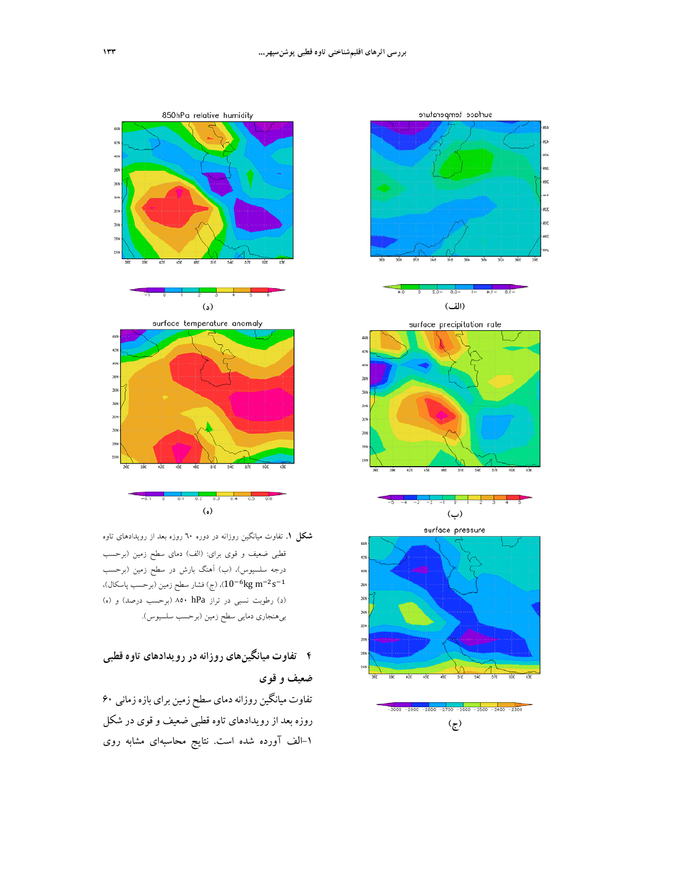



- **(ه)**
- **شكل .1** تفاوت ميانگين روزانه در دوره 60 روزه بعد از رويدادهاي تاوه قطبي ضعيف و قوي براي: (الف) دماي سطح زمين (برحسب درجه سلسيوس)، (ب) آهنگ بارش در سطح زمين (برحسب ، (ج) فشار سطح زمين (برحسب پاسكال)، (ج) فشار سطح زمين (برحسب پاسكال)،  $(10^{-6} \text{kg m}^{-2} \text{s}^{-1}$ (د) رطوبت نسبي در تراز hPa 850) برحسب درصد) و (ه) بيهنجاري دمايي سطح زمين (برحسب سلسيوس).

# **4 تفاوت ميانگينهاي روزانهدررويدادهاي تاوه قطبي**

تفاوت ميانگين روزانه دماي سطح زمين براي بازه زماني ۶۰ روزه بعد از رويدادهاي تاوه قطبي ضعيف و قوي در شكل -1الف آورده شده است. نتايج محاسبهاي مشابه روي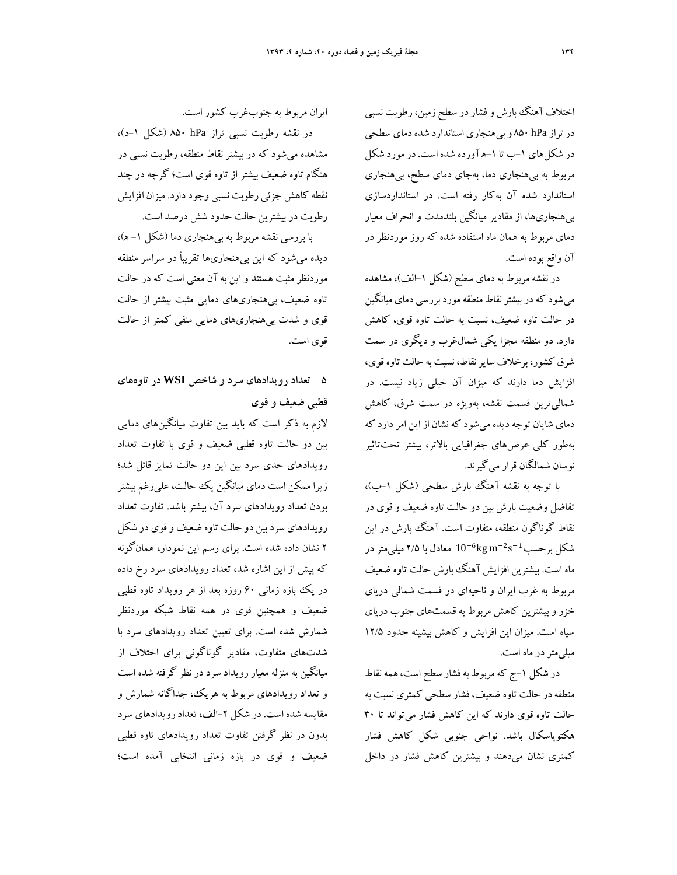اختلاف آهنگ بارش و فشار در سطح زمین، رطوبت نسببی درتراز hPa 850 وبيهنجاري استاندارد شدهدماي سطحي در شكلهاي -1ب تا -1هآورده شده است. درمورد شكل مربوط به بيهنجاري دما، بهجاي دماي سطح، بيهنجاري استاندارد شده آن بهكار رفته است. در استانداردسازي بيهنجاريها، از مقادير ميانگين بلندمدت و انحراف معيار دماي مربوط به همان ماه استفاده شده كه روز موردنظر در آن واقع بوده است.

در نقشه مربوط به دماي سطح (شكل ١–الف)، مشاهده ميشود كهدربيشترنقاط منطقهموردبررسي دماي ميانگين در حالت تاوه ضعيف، نسبت به حالت تاوه قوي، كاهش دارد. دو منطقه مجزا يكي شمالغرب و ديگري در سمت شرق كشور، برخلاف سايرنقاط، نسبت به حالت تاوه قوي، افزايش دما دارند كه ميزان آن خيلي زياد نيست. در شماليترين قسمت نقشه، بهويژه در سمت شرق، كاهش دماي شايان توجه ديده مي شود كه نشان از اين امر دارد كه بهطور كلي عرضهاي جغرافيايي بالاتر، بيشتر تحتتاثير نوسان شمالگان قرار ميگيرند.

با توجه به نقشه آهنگ بارش سطحي (شكل -1ب)، تفاضل وضعيت بارش بين دو حالت تاوه ضعيف وقوي در نقاط گوناگون منطقه، متفاوت است. آهنگ بارش در اين شكل برحسب $^{-2}$ s $^{-1}$   $^{-6}$ kg m $^{-2}$  ميلي متر در ماه است. بيشترين افزايش آهنگ بارش حالت تاوه ضعيف مربوط به غرب ايران و ناحيهاي در قسمت شمالي درياي خزر و بيشترين كاهش مربوط به قسمتهاي جنوب درياي سياه است. ميزان اين افزايش و كاهش بيشينه حدود 12/5 ميليمتردر ماه است.

در شكل ١–ج كه مربوط به فشار سطح است، همه نقاط منطقهدر حالت تاوه ضعيف، فشار سطحي كمتري نسبت به حالت تاوه قوي دارند كه اين كاهش فشار ميتواند تا 30 هكتوپاسكال باشد. نواحي جنوبي شكل كاهش فشار كمتري نشان ميدهند و بيشترين كاهش فشار در داخل

ايران مربوط به جنوبغرب كشور است.

در نقشه رطوبت نسبي تراز hPa 850) شكل -1د)، مشاهده ميشود كه در بيشتر نقاط منطقه، رطوبت نسبي در هنگام تاوه ضعيف بيشتر از تاوه قوي است؛ گرچه در چند نقطه كاهش جزئي رطوبت نسبي وجوددارد. ميزان افزايش رطوبت در بيشترين حالت حدود شش درصد است.

با بررسي نقشه مربوط به بيهنجاري دما (شكل -1 ه)، ديده ميشود كه اين بيهنجاريها تقريباً در سراسر منطقه موردنظر مثبت هستند و اين به آن معني است كه در حالت تاوه ضعيف، بيهنجاريهاي دمايي مثبت بيشتر از حالت قوي و شدت بيهنجاريهاي دمايي منفي كمتر از حالت قوي است.

## **5 تعداد رويدادهاي سرد و شاخص WSI در تاوههاي قطبي ضعيف و قوي**

لازم به ذكر است كه بايد بين تفاوت ميانگينهاي دمايي بين دو حالت تاوه قطبي ضعيف و قوي با تفاوت تعداد رويدادهاي حدي سرد بين اين دو حالت تمايز قائل شد؛ زيرا ممكن است دماي ميانگين يك حالت، عليرغم بيشتر بودن تعداد رويدادهاي سرد آن، بيشتر باشد. تفاوت تعداد رويدادهاي سردبين دو حالت تاوه ضعيف وقوي در شكل 2 نشان داده شده است. براي رسم اين نمودار، همانگونه كه پيش از اين اشاره شد، تعداد رويدادهاي سرد رخ داده در يك بازه زماني ۶۰ روزه بعد از هر رويداد تاوه قطبي ضعيف و همچنين قوي در همه نقاط شبكه موردنظر شمارش شده است. براي تعيين تعداد رويدادهاي سرد با شدتهاي متفاوت، مقادير گوناگوني براي اختلاف از ميانگين به منزله معيار رويداد سرد در نظر گرفته شده است و تعداد رويدادهاي مربوط به هريك، جداگانه شمارش و مقايسه شده است. در شكل -2الف، تعدادرويدادهاي سرد بدون در نظر گرفتن تفاوت تعداد رويدادهاي تاوه قطبي ضعيف و قوي در بازه زماني انتخابي آمده است؛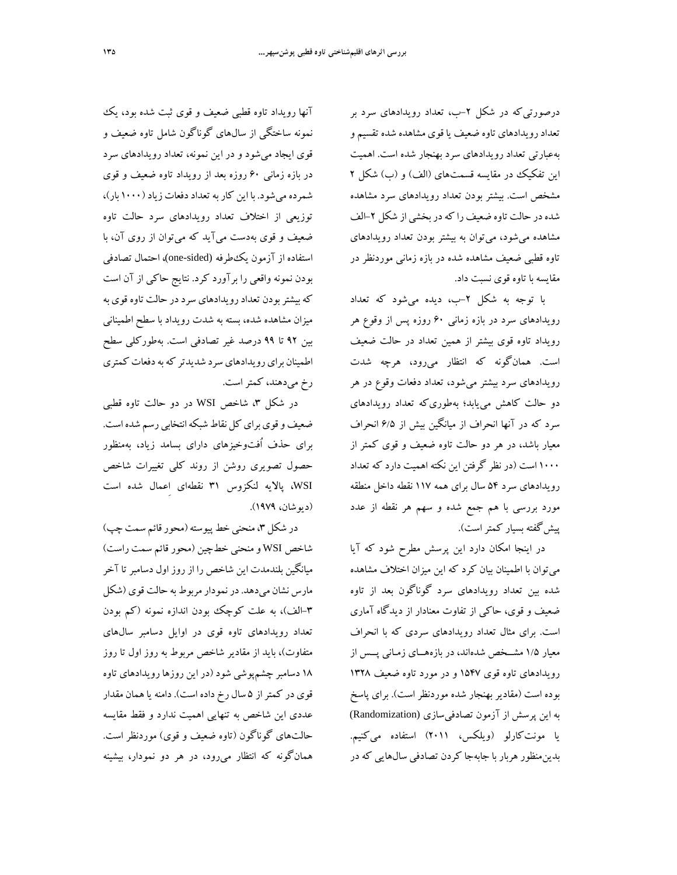درصورتيكه در شكل -2ب، تعداد رويدادهاي سرد بر تعدادرويدادهاي تاوه ضعيف يا قوي مشاهده شده تقسيم و بهعبارتي تعداد رويدادهاي سرد بهنجار شده است. اهميت اين تفكيك در مقايسه قسمتهاي (الف) و (ب) شكل 2 مشخص است. بيشتر بودن تعداد رويدادهاي سرد مشاهده شده در حالت تاوه ضعيف را كه در بخشي از شكل ٢-الف مشاهده ميشود، ميتوان به بيشتر بودن تعداد رويدادهاي تاوه قطبي ضعيف مشاهده شده در بازه زماني موردنظر در مقايسه با تاوه قوي نسبت داد.

با توجه به شكل -2ب، ديده ميشود كه تعداد رويدادهاي سرد در بازه زماني 60 روزه پس از وقوع هر رويداد تاوه قوي بيشتر از همين تعداد در حالت ضعيف است. همانگونه كه انتظار ميرود، هرچه شدت رويدادهاي سرد بيشتر ميشود، تعداد دفعات وقوع در هر دو حالت كاهش مييابد؛ بهطوريكه تعداد رويدادهاي سرد كه در آنها انحراف از ميانگين بيش از 6/5 انحراف معيار باشد، در هر دو حالت تاوه ضعيف و قوي كمتر از 1000 است (در نظر گرفتن اين نكته اهميت دارد كه تعداد رويدادهاي سرد 54 سال براي همه 117 نقطه داخل منطقه مورد بررسي با هم جمع شده و سهم هر نقطه از عدد پيشگفته بسيار كمتراست).

در اينجا امكان دارد اين پرسش مطرح شود كه آيا ميتوان با اطمينان بيان كرد كه اين ميزان اختلاف مشاهده شده بين تعداد رويدادهاي سرد گوناگون بعد از تاوه ضعيف و قوي، حاكي از تفاوت معنادار از ديدگاه آماري است. براي مثال تعداد رويدادهاي سردي كه با انحراف معيار 1/5 مشــخص شدهاند، در بازههــاي زمـاني پــس از رويدادهاي تاوه قوي 1547 و در مورد تاوه ضعيف 1328 بوده است (مقادير بهنجار شده موردنظر است). براي پاسخ به اين پرسش از آزمون تصادفيسازي (Randomization( يا مونتكارلو (ويلكس، 2011) استفاده ميكنيم. بدينمنظور هربار با جابهجا كردن تصادفي سالهايي كه در

آنها رويداد تاوه قطبي ضعيف و قوي ثبت شده بود، يك نمونه ساختگي از سالهاي گوناگون شامل تاوه ضعيف و قوي ايجاد ميشود و در اين نمونه، تعداد رويدادهاي سرد در بازه زماني 60 روزه بعد از رويداد تاوه ضعيف و قوي شمرده ميشود. با اين كاربهتعداددفعات زياد (1000 بار)، توزيعي از اختلاف تعداد رويدادهاي سرد حالت تاوه ضعيف و قوي بهدست ميآيد كه ميتوان از روي آن، با استفاده از آزمون يكطرفه (sided-one(، احتمال تصادفي بودن نمونه واقعي را برآورد كرد. نتايج حاكي از آن است كهبيشتربودن تعدادرويدادهاي سرددر حالت تاوه قوي به ميزان مشاهده شده، بسته به شدت رويداد با سطح اطميناني بين 92 تا 99 درصد غير تصادفي است. بهطوركلي سطح اطمينان براي رويدادهاي سرد شديدتر كه به دفعات كمترى رخ ميدهند، كمتر است.

در شكل ۳، شاخص WSI در دو حالت تاوه قطبي ضعيف و قوي براي كل نقاط شبكه انتخابي رسم شده است. براي حذف اُفتوخيزهاي داراي بسامد زياد، بهمنظور حصول تصويري روشن از روند كلي تغييرات شاخص WSI، پالايه لنكزوس 31 نقطهاي اِعمال شده است (ديوشان، 1979).

در شكل ٣، منحني خط پيوسته (محور قائم سمت چپ) شاخص WSI ومنحني خطچين (محور قائم سمت راست) ميانگين بلندمدت اين شاخص را از روزاول دسامبرتا آخر مارس نشان ميدهد. درنمودارمربوط به حالت قوي (شكل -3الف)، به علت كوچك بودن اندازه نمونه (كم بودن تعداد رويدادهاي تاوه قوي در اوايل دسامبر سالهاي متفاوت)، بايد از مقادير شاخص مربوط به روز اول تا روز 18 دسامبر چشمپوشي شود (در اين روزهارويدادهاي تاوه قوي در كمتر از ۵ سال رخ داده است). دامنه يا همان مقدار عددي اين شاخص به تنهايي اهميت ندارد و فقط مقايسه حالتهاي گوناگون (تاوه ضعيف و قوي) موردنظر است. همانگونه كه انتظار ميرود، در هر دو نمودار، بيشينه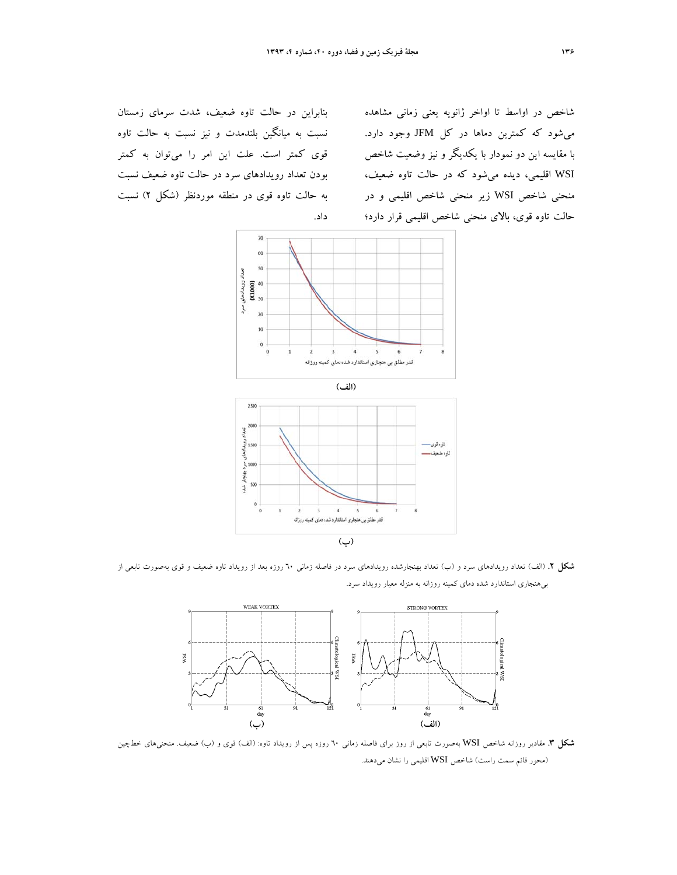شاخص در اواسط تا اواخر ژانويه يعني زماني مشاهده ميشود كه كمترين دماها در كل JFM وجود دارد. با مقايسه اين دو نمودار با يكديگر و نيز وضعيت شاخص WSI اقليمي، ديده ميشود كه در حالت تاوه ضعيف، منحني شاخص WSI زير منحني شاخص اقليمي و در حالت تاوه قوي، بالاي منحني شاخص اقليمي قرار دارد؛

بنابراين در حالت تاوه ضعيف، شدت سرماي زمستان نسبت به ميانگين بلندمدت و نيز نسبت به حالت تاوه قوي كمتر است. علت اين امر را ميتوان به كمتر بودن تعداد رويدادهاي سرد در حالت تاوه ضعيف نسبت به حالت تاوه قوي در منطقه موردنظر (شكل 2) نسبت داد.





**شكل .2** (الف) تعداد رويدادهاي سرد و (ب) تعداد بهنجارشده رويدادهاي سرد در فاصله زماني 60 روزه بعد از رويداد تاوه ضعيف و قوي بهصورت تابعي از بيهنجاري استاندارد شده دماي كمينه روزانه به منزله معيار رويداد سرد.



**شكل .3** مقادير روزانه شاخص WSI بهصورت تابعي از روز براي فاصله زماني 60 روزه پس از رويداد تاوه: (الف) قوي و (ب) ضعيف. منحنيهاي خطچين (محور قائم سمت راست) شاخص WSI اقليمي را نشان ميدهند.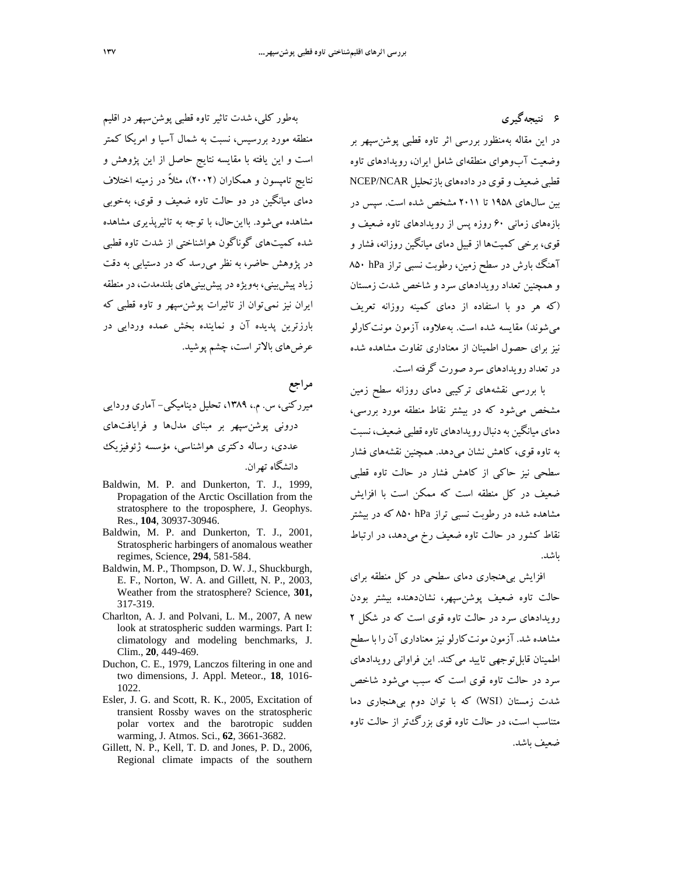**6 نتيجهگيري**  در اين مقاله بهمنظور بررسي اثر تاوه قطبي پوشنسپهر بر وضعيت آبوهواي منطقهاي شامل ايران، رويدادهاي تاوه قطبي ضعيف وقوى در دادههاي بازتحليل NCEP/NCAR بين سالهاي 1958 تا 2011 مشخص شده است. سپس در بازههاي زماني 60 روزه پس از رويدادهاي تاوه ضعيف و قوي، برخي كميتها از قبيل دماي ميانگين روزانه، فشار و آهنگ بارش در سطح زمين، رطوبت نسبي تراز ۸۵۰ ۸۵۰ و همچنين تعداد رويدادهاي سرد و شاخص شدت زمستان (كه هر دو با استفاده از دماي كمينه روزانه تعريف ميشوند) مقايسه شده است. بهعلاوه، آزمون مونتكارلو نيز براي حصول اطمينان از معناداري تفاوت مشاهده شده در تعداد رويدادهاي سرد صورت گرفته است.

با بررسي نقشههاي تركيبي دماي روزانه سطح زمين مشخص ميشود كه در بيشتر نقاط منطقه مورد بررسي، دماي ميانگين بهدنبال رويدادهاي تاوه قطبي ضعيف، نسبت به تاوه قوي، كاهش نشان ميدهد. همچنين نقشههاي فشار سطحي نيز حاكي از كاهش فشار در حالت تاوه قطبي ضعيف در كل منطقه است كه ممكن است با افزايش مشاهده شده در رطوبت نسبي تراز hPa 850 كه در بيشتر نقاط كشور در حالت تاوه ضعيف رخ ميدهد، در ارتباط باشد.

افزايش بيهنجاري دماي سطحي در كل منطقه براي حالت تاوه ضعيف پوشنسپهر، نشاندهنده بيشتر بودن رويدادهاي سرد در حالت تاوه قوي است كه در شكل 2 مشاهده شد.آزمون مونتكارلو نيزمعناداري آن را با سطح اطمينان قابلتوجهي تاييد ميكند. اين فراواني رويدادهاي سرد در حالت تاوه قوي است كه سبب ميشود شاخص شدت زمستان (WSI (كه با توان دوم بيهنجاري دما متناسب است، در حالت تاوه قوي بزرگتر از حالت تاوه ضعيف باشد.

بهطور كلي، شدت تاثير تاوه قطبي پوشنسپهر در اقليم منطقه مورد بررسيس، نسبت به شمال آسيا و امريكا كمتر است و اين يافته با مقايسه نتايج حاصل از اين پژوهش و نتايج تامپسون و همكاران (2002)، مثلاً در زمينه اختلاف دماي ميانگين در دو حالت تاوه ضعيف و قوي، بهخوبي مشاهده ميشود. بااينحال، با توجه به تاثيرپذيري مشاهده شده كميتهاي گوناگون هواشناختي از شدت تاوه قطبي در پژوهش حاضر، به نظر ميرسد كه در دستيابي به دقت زيادپيشبيني، بهويژه در پيشبينيهاي بلندمدت،درمنطقه ايران نيز نميتوان از تاثيرات پوشنسپهر و تاوه قطبي كه بارزترين پديده آن و نماينده بخش عمده وردايي در عرضهاي بالاتراست، چشم پوشيد.

**مراجع** ميرركني، س. م،. ،1389 تحليل ديناميكي- آماري وردايي دروني پوشنسپهر بر مبناي مدلها و فرايافتهاي عددي، رساله دكتري هواشناسي، مؤسسه ژئوفيزيك دانشگاه تهران.

- Baldwin, M. P. and Dunkerton, T. J., 1999, Propagation of the Arctic Oscillation from the stratosphere to the troposphere, J. Geophys. Res., **104**, 30937-30946.
- Baldwin, M. P. and Dunkerton, T. J., 2001, Stratospheric harbingers of anomalous weather regimes, Science, **294**, 581-584.
- Baldwin, M. P., Thompson, D. W. J., Shuckburgh, E. F., Norton, W. A. and Gillett, N. P., 2003, Weather from the stratosphere? Science, **301,**  317-319.
- Charlton, A. J. and Polvani, L. M., 2007, A new look at stratospheric sudden warmings. Part I: climatology and modeling benchmarks, J. Clim., **20**, 449-469.
- Duchon, C. E., 1979, Lanczos filtering in one and two dimensions, J. Appl. Meteor., **18**, 1016- 1022.
- Esler, J. G. and Scott, R. K., 2005, Excitation of transient Rossby waves on the stratospheric polar vortex and the barotropic sudden warming, J. Atmos. Sci., **62**, 3661-3682.
- Gillett, N. P., Kell, T. D. and Jones, P. D., 2006, Regional climate impacts of the southern